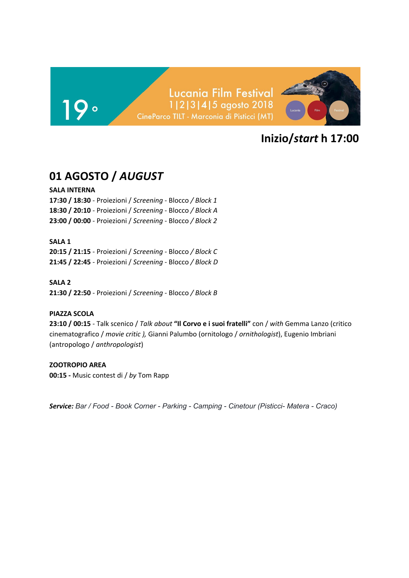### Lucania Film Festival 1|2|3|4|5 agosto 2018 CineParco TILT - Marconia di Pisticci (MT)



# **Inizio/***start* **h 17:00**

# **01 AGOSTO /** *AUGUST*

### **SALA INTERNA**

**17:30 / 18:30** - Proiezioni / *Screening -* Blocco */ Block 1* **18:30 / 20:10** *-* Proiezioni / *Screening -* Blocco */ Block A* **23:00 / 00:00** *-* Proiezioni / *Screening -* Blocco */ Block 2*

### **SALA 1**

**20:15 / 21:15** - Proiezioni / *Screening -* Blocco */ Block C* **21:45 / 22:45** *-* Proiezioni / *Screening -* Blocco */ Block D*

### **SALA 2**

**21:30 / 22:50** - Proiezioni / *Screening -* Blocco */ Block B*

### **PIAZZA SCOLA**

**23:10 / 00:15** - Talk scenico / *Talk about* **"Il Corvo e i suoi fratelli"** con / *with* Gemma Lanzo (critico cinematografico / *movie critic ),* Gianni Palumbo (ornitologo / *ornithologist*), Eugenio Imbriani (antropologo / *anthropologist*)

### **ZOOTROPIO AREA**

**00:15 -** Music contest di / *by* Tom Rapp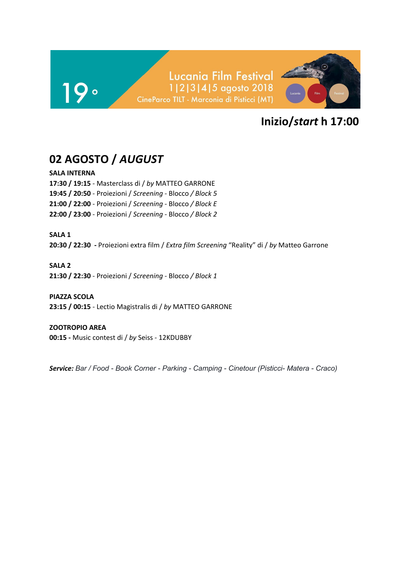

# **02 AGOSTO /** *AUGUST*

### **SALA INTERNA**

**17:30 / 19:15** - Masterclass di / *by* MATTEO GARRONE **19:45 / 20:50** - Proiezioni / *Screening -* Blocco */ Block 5* **21:00 / 22:00** *-* Proiezioni / *Screening -* Blocco */ Block E* **22:00 / 23:00** - Proiezioni / *Screening -* Blocco */ Block 2*

**SALA 1 20:30 / 22:30 -** Proiezioni extra film / *Extra film Screening* "Reality" di / *by* Matteo Garrone

### **SALA 2**

**21:30 / 22:30** - Proiezioni / *Screening -* Blocco */ Block 1*

### **PIAZZA SCOLA**

**23:15 / 00:15** - Lectio Magistralis di / *by* MATTEO GARRONE

### **ZOOTROPIO AREA**

**00:15 -** Music contest di / *by* Seiss - 12KDUBBY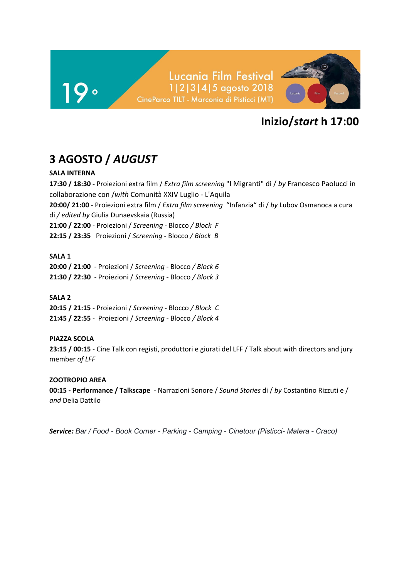

# **3 AGOSTO /** *AUGUST*

### **SALA INTERNA**

**17:30 / 18:30 -** Proiezioni extra film / *Extra film screening* "I Migranti" di / *by* Francesco Paolucci in collaborazione con /*with* Comunità XXIV Luglio - L'Aquila **20:00/ 21:00** - Proiezioni extra film / *Extra film screening* "Infanzia" di / *by* Lubov Osmanoca a cura di */ edited by* Giulia Dunaevskaia (Russia) **21:00 / 22:00** - Proiezioni / *Screening -* Blocco */ Block F* **22:15 / 23:35** Proiezioni / *Screening -* Blocco */ Block B*

### **SALA 1**

**20:00 / 21:00** - Proiezioni / *Screening -* Blocco */ Block 6* **21:30 / 22:30** - Proiezioni / *Screening -* Blocco */ Block 3*

### **SALA 2**

**20:15 / 21:15** - Proiezioni / *Screening -* Blocco */ Block C* **21:45 / 22:55** - Proiezioni / *Screening -* Blocco */ Block 4*

### **PIAZZA SCOLA**

**23:15 / 00:15** - Cine Talk con registi, produttori e giurati del LFF / Talk about with directors and jury member *of LFF*

### **ZOOTROPIO AREA**

**00:15 - Performance / Talkscape** - Narrazioni Sonore / *Sound Stories* di / *by* Costantino Rizzuti e / *and* Delia Dattilo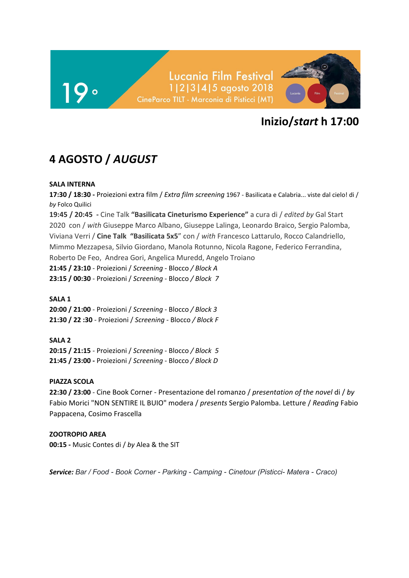

# **4 AGOSTO /** *AUGUST*

### **SALA INTERNA**

**17:30 / 18:30 -** Proiezioni extra film / *Extra film screening* 1967 - Basilicata e Calabria... viste dal cielo! di / *by* Folco Quilici **19:45 / 20:45 -** Cine Talk **"Basilicata Cineturismo Experience"** a cura di / *edited by* Gal Start 2020 con / *with* Giuseppe Marco Albano, Giuseppe Lalinga, Leonardo Braico, Sergio Palomba, Viviana Verri / **Cine Talk "Basilicata 5x5**" con / *with* Francesco Lattarulo, Rocco Calandriello, Mimmo Mezzapesa, Silvio Giordano, Manola Rotunno, Nicola Ragone, Federico Ferrandina, Roberto De Feo, Andrea Gori, Angelica Muredd, Angelo Troiano **21:45 / 23:10** - Proiezioni / *Screening -* Blocco */ Block A*

**23:15 / 00:30** - Proiezioni / *Screening -* Blocco */ Block 7*

**SALA 1**

**20:00 / 21:00** - Proiezioni / *Screening -* Blocco */ Block 3* **21:30 / 22 :30** - Proiezioni / *Screening -* Blocco */ Block F*

**SALA 2 20:15 / 21:15** - Proiezioni / *Screening -* Blocco */ Block 5* **21:45 / 23:00 -** Proiezioni / *Screening -* Blocco */ Block D*

### **PIAZZA SCOLA**

**22:30 / 23:00** - Cine Book Corner - Presentazione del romanzo / *presentation of the novel* di / *by* Fabio Morici "NON SENTIRE IL BUIO" modera / *presents* Sergio Palomba. Letture / *Reading* Fabio Pappacena, Cosimo Frascella

### **ZOOTROPIO AREA**

**00:15 -** Music Contes di / *by* Alea & the SIT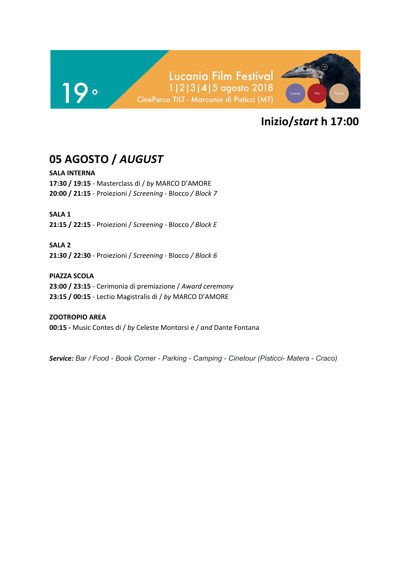

# **05 AGOSTO /** *AUGUST*

**SALA INTERNA 17:30 / 19:15** - Masterclass di / *by* MARCO D'AMORE **20:00 / 21:15** - Proiezioni / *Screening -* Blocco */ Block 7*

**SALA 1**

**21:15 / 22:15** - Proiezioni / *Screening -* Blocco */ Block E*

**SALA 2 21:30 / 22:30** - Proiezioni / *Screening -* Blocco */ Block 6*

**PIAZZA SCOLA 23:00 / 23:15** - Cerimonia di premiazione / *Award ceremony* **23:15 / 00:15** - Lectio Magistralis di / *by* MARCO D'AMORE

**ZOOTROPIO AREA 00:15 -** Music Contes di / *by* Celeste Montorsi e / *and* Dante Fontana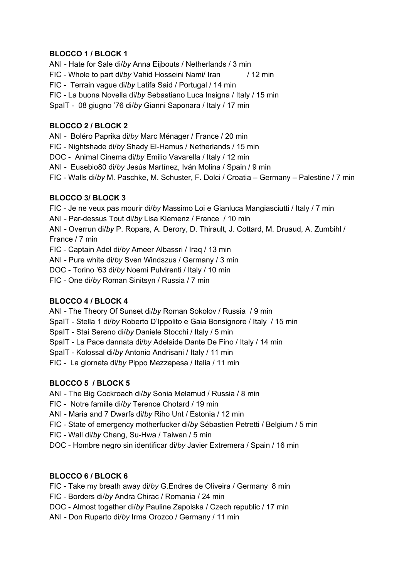### **BLOCCO 1 / BLOCK 1**

ANI - Hate for Sale di/*by* Anna Eijbouts / Netherlands / 3 min FIC - Whole to part di/by Vahid Hosseini Nami/ Iran / 12 min FIC - Terrain vague di/*by* Latifa Said / Portugal / 14 min FIC - La buona Novella di/*by* Sebastiano Luca Insigna / Italy / 15 min SpaIT - 08 giugno '76 di/*by* Gianni Saponara / Italy / 17 min

### **BLOCCO 2 / BLOCK 2**

ANI - Boléro Paprika di/*by* Marc Ménager / France / 20 min

FIC - Nightshade di/*by* Shady El-Hamus / Netherlands / 15 min

DOC - Animal Cinema di/*by* Emilio Vavarella / Italy / 12 min

ANI - Eusebio80 di/*by* Jesús Martínez, Iván Molina / Spain / 9 min

FIC - Walls di/*by* M. Paschke, M. Schuster, F. Dolci / Croatia – Germany – Palestine / 7 min

### **BLOCCO 3/ BLOCK 3**

FIC - Je ne veux pas mourir di/*by* Massimo Loi e Gianluca Mangiasciutti / Italy / 7 min

ANI - Par-dessus Tout di/*by* Lisa Klemenz / France / 10 min

ANI - Overrun di/*by* P. Ropars, A. Derory, D. Thirault, J. Cottard, M. Druaud, A. Zumbihl / France / 7 min

FIC - Captain Adel di/*by* Ameer Albassri / Iraq / 13 min

ANI - Pure white di/*by* Sven Windszus / Germany / 3 min

DOC - Torino '63 di/*by* Noemi Pulvirenti / Italy / 10 min

FIC - One di/*by* Roman Sinitsyn / Russia / 7 min

### **BLOCCO 4 / BLOCK 4**

ANI - The Theory Of Sunset di/*by* Roman Sokolov / Russia / 9 min

SpaIT - Stella 1 di/*by* Roberto D'Ippolito e Gaia Bonsignore / Italy / 15 min

SpaIT - Stai Sereno di/*by* Daniele Stocchi / Italy / 5 min

SpaIT - La Pace dannata di/*by* Adelaide Dante De Fino / Italy / 14 min

SpaIT - Kolossal di/*by* Antonio Andrisani / Italy / 11 min

FIC - La giornata di/*by* Pippo Mezzapesa / Italia / 11 min

### **BLOCCO 5 / BLOCK 5**

ANI - The Big Cockroach di/*by* Sonia Melamud / Russia / 8 min

FIC - Notre famille di/*by* Terence Chotard / 19 min

ANI - Maria and 7 Dwarfs di/*by* Riho Unt / Estonia / 12 min

FIC - State of emergency motherfucker di/*by* Sébastien Petretti / Belgium / 5 min

FIC - Wall di/*by* Chang, Su-Hwa / Taiwan / 5 min

DOC - Hombre negro sin identificar di/*by* Javier Extremera / Spain / 16 min

### **BLOCCO 6 / BLOCK 6**

FIC - Take my breath away di/*by* G.Endres de Oliveira / Germany 8 min

FIC - Borders di/*by* Andra Chirac / Romania / 24 min

DOC - Almost together di/*by* Pauline Zapolska / Czech republic / 17 min

ANI - Don Ruperto di/*by* Irma Orozco / Germany / 11 min